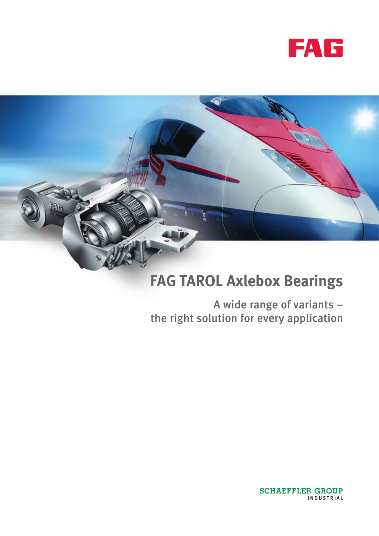



# **FAG TAROL Axlebox Bearings**

A wide range of variants – the right solution for every application

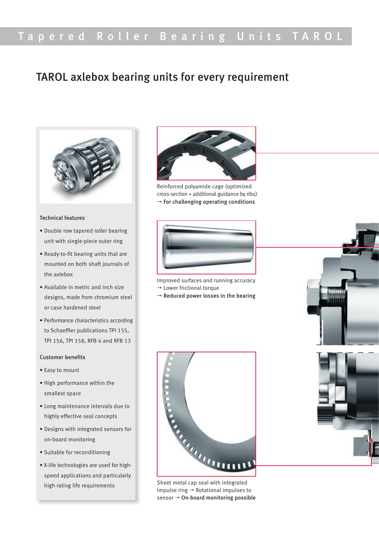## Tapered Roller Bearing Units TAROL

### TAROL axlebox bearing units for every requirement



#### Technical features

- Double row tapered roller bearing unit with single-piece outer ring
- Ready-to-fit bearing units that are mounted on both shaft journals of the axlebox
- Available in metric and inch size designs, made from chromium steel or case hardened steel
- Performance characteristics according to Schaeffler publications TPI 155, TPI 156, TPI 158, RFB 4 and RFB 13

#### Customer benefits

- Easy to mount
- High performance within the smallest space
- Long maintenance intervals due to highly effective seal concepts
- Designs with integrated sensors for on-board monitoring
- Suitable for reconditioning
- X-life technologies are used for highspeed applications and particularly high rating life requirements



Reinforced polyamide cage (optimized cross-section + additional guidance by ribs)  $\rightarrow$  For challenging operating conditions



Improved surfaces and running accuracy  $\rightarrow$  Lower frictional torque

 $\rightarrow$  Reduced power losses in the bearing



impulse ring  $\rightarrow$  Rotational impulses to sensor  $\rightarrow$  On-board monitoring possible

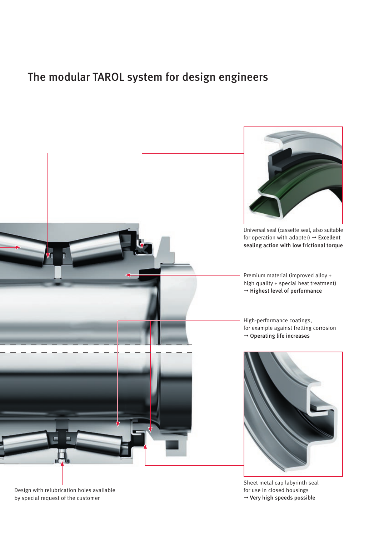## The modular TAROL system for design engineers



Design with relubrication holes available by special request of the customer

Sheet metal cap labyrinth seal for use in closed housings  $\rightarrow$  Very high speeds possible